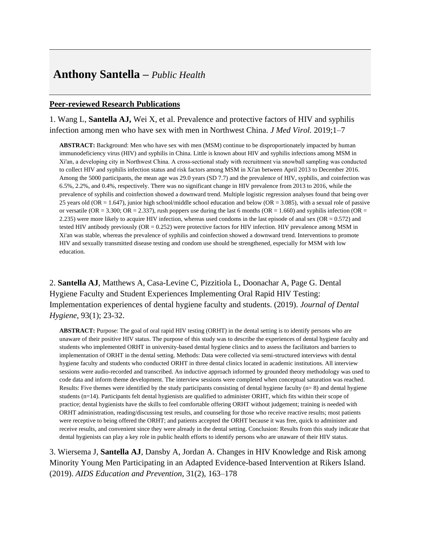# **Anthony Santella –** *Public Health*

#### **Peer-reviewed Research Publications**

1. Wang L, **Santella AJ,** Wei X, et al. Prevalence and protective factors of HIV and syphilis infection among men who have sex with men in Northwest China. *J Med Virol.* 2019;1–7

**ABSTRACT:** Background: Men who have sex with men (MSM) continue to be disproportionately impacted by human immunodeficiency virus (HIV) and syphilis in China. Little is known about HIV and syphilis infections among MSM in Xi'an, a developing city in Northwest China. A cross-sectional study with recruitment via snowball sampling was conducted to collect HIV and syphilis infection status and risk factors among MSM in Xi'an between April 2013 to December 2016. Among the 5000 participants, the mean age was 29.0 years (SD 7.7) and the prevalence of HIV, syphilis, and coinfection was 6.5%, 2.2%, and 0.4%, respectively. There was no significant change in HIV prevalence from 2013 to 2016, while the prevalence of syphilis and coinfection showed a downward trend. Multiple logistic regression analyses found that being over 25 years old (OR = 1.647), junior high school/middle school education and below (OR = 3.085), with a sexual role of passive or versatile (OR = 3.300; OR = 2.337), rush poppers use during the last 6 months (OR = 1.660) and syphilis infection (OR = 2.235) were more likely to acquire HIV infection, whereas used condoms in the last episode of anal sex (OR =  $0.572$ ) and tested HIV antibody previously (OR = 0.252) were protective factors for HIV infection. HIV prevalence among MSM in Xi'an was stable, whereas the prevalence of syphilis and coinfection showed a downward trend. Interventions to promote HIV and sexually transmitted disease testing and condom use should be strengthened, especially for MSM with low education.

2. **Santella AJ**, Matthews A, Casa-Levine C, Pizzitiola L, Doonachar A, Page G. Dental Hygiene Faculty and Student Experiences Implementing Oral Rapid HIV Testing: Implementation experiences of dental hygiene faculty and students. (2019). *Journal of Dental Hygiene*, 93(1); 23-32.

**ABSTRACT:** Purpose: The goal of oral rapid HIV testing (ORHT) in the dental setting is to identify persons who are unaware of their positive HIV status. The purpose of this study was to describe the experiences of dental hygiene faculty and students who implemented ORHT in university-based dental hygiene clinics and to assess the facilitators and barriers to implementation of ORHT in the dental setting. Methods: Data were collected via semi-structured interviews with dental hygiene faculty and students who conducted ORHT in three dental clinics located in academic institutions. All interview sessions were audio-recorded and transcribed. An inductive approach informed by grounded theory methodology was used to code data and inform theme development. The interview sessions were completed when conceptual saturation was reached. Results: Five themes were identified by the study participants consisting of dental hygiene faculty  $(n=8)$  and dental hygiene students (n=14). Participants felt dental hygienists are qualified to administer ORHT, which fits within their scope of practice; dental hygienists have the skills to feel comfortable offering ORHT without judgement; training is needed with ORHT administration, reading/discussing test results, and counseling for those who receive reactive results; most patients were receptive to being offered the ORHT; and patients accepted the ORHT because it was free, quick to administer and receive results, and convenient since they were already in the dental setting. Conclusion: Results from this study indicate that dental hygienists can play a key role in public health efforts to identify persons who are unaware of their HIV status.

3. Wiersema J, **Santella AJ**, Dansby A, Jordan A. Changes in HIV Knowledge and Risk among Minority Young Men Participating in an Adapted Evidence-based Intervention at Rikers Island. (2019). *AIDS Education and Prevention*, 31(2), 163–178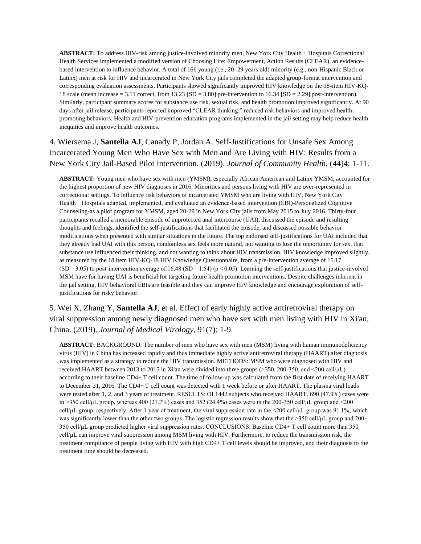**ABSTRACT:** To address HIV-risk among justice-involved minority men, New York City Health + Hospitals Correctional Health Services implemented a modified version of Choosing Life: Empowerment, Action Results (CLEAR), an evidencebased intervention to influence behavior. A total of 166 young (i.e., 20–29 years old) minority (e.g., non-Hispanic Black or Latinx) men at risk for HIV and incarcerated in New York City jails completed the adapted group-format intervention and corresponding evaluation assessments. Participants showed significantly improved HIV knowledge on the 18-item HIV-KQ-18 scale (mean increase = 3.11 correct, from 13.23 [SD = 3.80] pre-intervention to 16.34 [SD = 2.29] post-intervention). Similarly, participant summary scores for substance use risk, sexual risk, and health promotion improved significantly. At 90 days after jail release, participants reported improved "CLEAR thinking," reduced risk behaviors and improved healthpromoting behaviors. Health and HIV-prevention education programs implemented in the jail setting may help reduce health inequities and improve health outcomes.

4. Wiersema J, **Santella AJ**, Canady P, Jordan A. Self-Justifications for Unsafe Sex Among Incarcerated Young Men Who Have Sex with Men and Are Living with HIV: Results from a New York City Jail-Based Pilot Intervention. (2019). *Journal of Community Health*, (44)4; 1-11.

**ABSTRACT:** Young men who have sex with men (YMSM), especially African American and Latinx YMSM, accounted for the highest proportion of new HIV diagnoses in 2016. Minorities and persons living with HIV are over-represented in correctional settings. To influence risk behaviors of incarcerated YMSM who are living with HIV, New York City Health + Hospitals adapted, implemented, and evaluated an evidence-based intervention (EBI)-Personalized Cognitive Counseling-as a pilot program for YMSM, aged 20-29 in New York City jails from May 2015 to July 2016. Thirty-four participants recalled a memorable episode of unprotected anal intercourse (UAI), discussed the episode and resulting thoughts and feelings, identified the self-justifications that facilitated the episode, and discussed possible behavior modifications when presented with similar situations in the future. The top endorsed self-justifications for UAI included that they already had UAI with this person, condomless sex feels more natural, not wanting to lose the opportunity for sex, that substance use influenced their thinking, and not wanting to think about HIV transmission. HIV knowledge improved slightly, as measured by the 18 item HIV-KQ-18 HIV Knowledge Questionnaire, from a pre-intervention average of 15.17  $(SD = 3.05)$  to post-intervention average of 16.48 (SD = 1.64) (p < 0.05). Learning the self-justifications that justice-involved MSM have for having UAI is beneficial for targeting future health promotion interventions. Despite challenges inherent in the jail setting, HIV behavioral EBIs are feasible and they can improve HIV knowledge and encourage exploration of selfjustifications for risky behavior.

5. Wei X, Zhang Y, **Santella AJ**, et al. Effect of early highly active antiretroviral therapy on viral suppression among newly diagnosed men who have sex with men living with HIV in Xi'an, China. (2019). *Journal of Medical Virology*, 91(7); 1-9.

**ABSTRACT:** BACKGROUND: The number of men who have sex with men (MSM) living with human immunodeficiency virus (HIV) in China has increased rapidly and thus immediate highly active antiretroviral therapy (HAART) after diagnosis was implemented as a strategy to reduce the HIV transmission. METHODS: MSM who were diagnosed with HIV and received HAART between 2013 to 2015 in Xi'an were divided into three groups (>350, 200-350, and <200 cell/μL) according to their baseline CD4+ T cell count. The time of follow-up was calculated from the first date of receiving HAART to December 31, 2016. The CD4+ T cell count was detected with 1 week before or after HAART. The plasma viral loads were tested after 1, 2, and 3 years of treatment. RESULTS: Of 1442 subjects who received HAART, 690 (47.9%) cases were in >350 cell/ $\mu$ L group, whereas 400 (27.7%) cases and 352 (24.4%) cases were in the 200-350 cell/ $\mu$ L group and <200 cell/μL group, respectively. After 1 year of treatment, the viral suppression rate in the <200 cell/μL group was 91.1%, which was significantly lower than the other two groups. The logistic regression results show that the >350 cell/μL group and 200- 350 cell/μL group predicted higher viral suppression rates. CONCLUSIONS: Baseline CD4+ T cell count more than 350 cell/μL can improve viral suppression among MSM living with HIV. Furthermore, to reduce the transmission risk, the treatment compliance of people living with HIV with high CD4+ T cell levels should be improved, and their diagnosis to the treatment time should be decreased.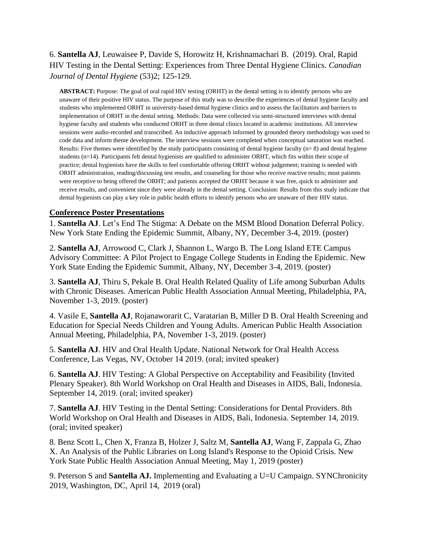# 6. **Santella AJ**, Leuwaisee P, Davide S, Horowitz H, Krishnamachari B. (2019). Oral, Rapid HIV Testing in the Dental Setting: Experiences from Three Dental Hygiene Clinics. *Canadian Journal of Dental Hygiene* (53)2; 125-129.

**ABSTRACT:** Purpose: The goal of oral rapid HIV testing (ORHT) in the dental setting is to identify persons who are unaware of their positive HIV status. The purpose of this study was to describe the experiences of dental hygiene faculty and students who implemented ORHT in university-based dental hygiene clinics and to assess the facilitators and barriers to implementation of ORHT in the dental setting. Methods: Data were collected via semi-structured interviews with dental hygiene faculty and students who conducted ORHT in three dental clinics located in academic institutions. All interview sessions were audio-recorded and transcribed. An inductive approach informed by grounded theory methodology was used to code data and inform theme development. The interview sessions were completed when conceptual saturation was reached. Results: Five themes were identified by the study participants consisting of dental hygiene faculty  $(n=8)$  and dental hygiene students (n=14). Participants felt dental hygienists are qualified to administer ORHT, which fits within their scope of practice; dental hygienists have the skills to feel comfortable offering ORHT without judgement; training is needed with ORHT administration, reading/discussing test results, and counseling for those who receive reactive results; most patients were receptive to being offered the ORHT; and patients accepted the ORHT because it was free, quick to administer and receive results, and convenient since they were already in the dental setting. Conclusion: Results from this study indicate that dental hygienists can play a key role in public health efforts to identify persons who are unaware of their HIV status.

### **Conference Poster Presentations**

1. **Santella AJ**. Let's End The Stigma: A Debate on the MSM Blood Donation Deferral Policy. New York State Ending the Epidemic Summit, Albany, NY, December 3-4, 2019. (poster)

2. **Santella AJ**, Arrowood C, Clark J, Shannon L, Wargo B. The Long Island ETE Campus Advisory Committee: A Pilot Project to Engage College Students in Ending the Epidemic. New York State Ending the Epidemic Summit, Albany, NY, December 3-4, 2019. (poster)

3. **Santella AJ**, Thiru S, Pekale B. Oral Health Related Quality of Life among Suburban Adults with Chronic Diseases. American Public Health Association Annual Meeting, Philadelphia, PA, November 1-3, 2019. (poster)

4. Vasile E, **Santella AJ**, Rojanaworarit C, Varatarian B, Miller D B. Oral Health Screening and Education for Special Needs Children and Young Adults. American Public Health Association Annual Meeting, Philadelphia, PA, November 1-3, 2019. (poster)

5. **Santella AJ**. HIV and Oral Health Update. National Network for Oral Health Access Conference, Las Vegas, NV, October 14 2019. (oral; invited speaker)

6. **Santella AJ**. HIV Testing: A Global Perspective on Acceptability and Feasibility (Invited Plenary Speaker). 8th World Workshop on Oral Health and Diseases in AIDS, Bali, Indonesia. September 14, 2019. (oral; invited speaker)

7. **Santella AJ**. HIV Testing in the Dental Setting: Considerations for Dental Providers. 8th World Workshop on Oral Health and Diseases in AIDS, Bali, Indonesia. September 14, 2019. (oral; invited speaker)

8. Benz Scott L, Chen X, Franza B, Holzer J, Saltz M, **Santella AJ**, Wang F, Zappala G, Zhao X. An Analysis of the Public Libraries on Long Island's Response to the Opioid Crisis. New York State Public Health Association Annual Meeting, May 1, 2019 (poster)

9. Peterson S and **Santella AJ.** Implementing and Evaluating a U=U Campaign. SYNChronicity 2019, Washington, DC, April 14, 2019 (oral)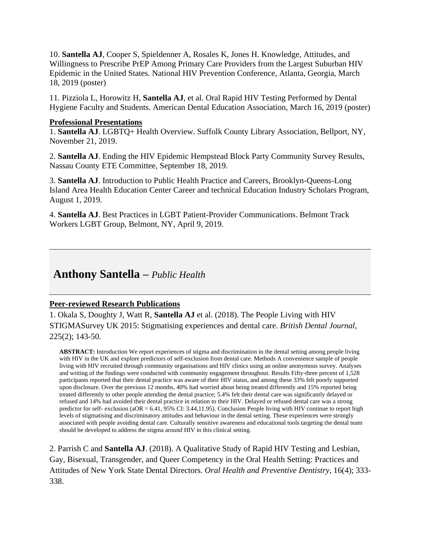10. **Santella AJ**, Cooper S, Spieldenner A, Rosales K, Jones H. Knowledge, Attitudes, and Willingness to Prescribe PrEP Among Primary Care Providers from the Largest Suburban HIV Epidemic in the United States. National HIV Prevention Conference, Atlanta, Georgia, March 18, 2019 (poster)

11. Pizziola L, Horowitz H, **Santella AJ**, et al. Oral Rapid HIV Testing Performed by Dental Hygiene Faculty and Students. American Dental Education Association, March 16, 2019 (poster)

#### **Professional Presentations**

1. **Santella AJ**. LGBTQ+ Health Overview. Suffolk County Library Association, Bellport, NY, November 21, 2019.

2. **Santella AJ**. Ending the HIV Epidemic Hempstead Block Party Community Survey Results, Nassau County ETE Committee, September 18, 2019.

3. **Santella AJ**. Introduction to Public Health Practice and Careers, Brooklyn-Queens-Long Island Area Health Education Center Career and technical Education Industry Scholars Program, August 1, 2019.

4. **Santella AJ**. Best Practices in LGBT Patient-Provider Communications. Belmont Track Workers LGBT Group, Belmont, NY, April 9, 2019.

# **Anthony Santella –** *Public Health*

#### **Peer-reviewed Research Publications**

1. Okala S, Doughty J, Watt R, **Santella AJ** et al. (2018). The People Living with HIV STIGMASurvey UK 2015: Stigmatising experiences and dental care. *British Dental Journal*, 225(2); 143-50.

**ABSTRACT:** Introduction We report experiences of stigma and discrimination in the dental setting among people living with HIV in the UK and explore predictors of self-exclusion from dental care. Methods A convenience sample of people living with HIV recruited through community organisations and HIV clinics using an online anonymous survey. Analyses and writing of the findings were conducted with community engagement throughout. Results Fifty-three percent of 1,528 participants reported that their dental practice was aware of their HIV status, and among these 33% felt poorly supported upon disclosure. Over the previous 12 months, 40% had worried about being treated differently and 15% reported being treated differently to other people attending the dental practice; 5.4% felt their dental care was significantly delayed or refused and 14% had avoided their dental practice in relation to their HIV. Delayed or refused dental care was a strong predictor for self- exclusion (aOR = 6.41, 95% CI: 3.44,11.95). Conclusion People living with HIV continue to report high levels of stigmatising and discriminatory attitudes and behaviour in the dental setting. These experiences were strongly associated with people avoiding dental care. Culturally sensitive awareness and educational tools targeting the dental team should be developed to address the stigma around HIV in this clinical setting.

2. Parrish C and **Santella AJ**. (2018). A Qualitative Study of Rapid HIV Testing and Lesbian, Gay, Bisexual, Transgender, and Queer Competency in the Oral Health Setting: Practices and Attitudes of New York State Dental Directors*. Oral Health and Preventive Dentistry*, 16(4); 333- 338.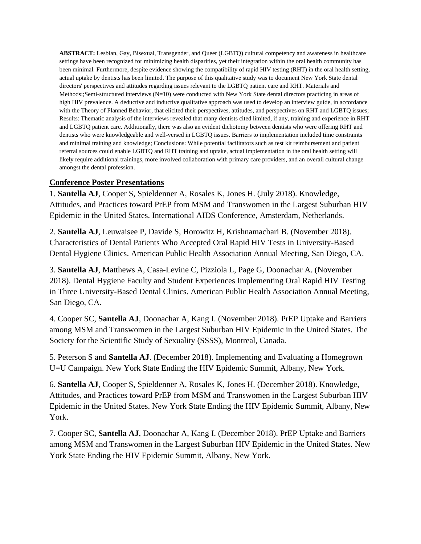**ABSTRACT:** Lesbian, Gay, Bisexual, Transgender, and Queer (LGBTQ) cultural competency and awareness in healthcare settings have been recognized for minimizing health disparities, yet their integration within the oral health community has been minimal. Furthermore, despite evidence showing the compatibility of rapid HIV testing (RHT) in the oral health setting, actual uptake by dentists has been limited. The purpose of this qualitative study was to document New York State dental directors' perspectives and attitudes regarding issues relevant to the LGBTQ patient care and RHT. Materials and Methods:;Semi-structured interviews (N=10) were conducted with New York State dental directors practicing in areas of high HIV prevalence. A deductive and inductive qualitative approach was used to develop an interview guide, in accordance with the Theory of Planned Behavior, that elicited their perspectives, attitudes, and perspectives on RHT and LGBTQ issues; Results: Thematic analysis of the interviews revealed that many dentists cited limited, if any, training and experience in RHT and LGBTQ patient care. Additionally, there was also an evident dichotomy between dentists who were offering RHT and dentists who were knowledgeable and well-versed in LGBTQ issues. Barriers to implementation included time constraints and minimal training and knowledge; Conclusions: While potential facilitators such as test kit reimbursement and patient referral sources could enable LGBTQ and RHT training and uptake, actual implementation in the oral health setting will likely require additional trainings, more involved collaboration with primary care providers, and an overall cultural change amongst the dental profession.

### **Conference Poster Presentations**

1. **Santella AJ**, Cooper S, Spieldenner A, Rosales K, Jones H. (July 2018). Knowledge, Attitudes, and Practices toward PrEP from MSM and Transwomen in the Largest Suburban HIV Epidemic in the United States. International AIDS Conference, Amsterdam, Netherlands.

2. **Santella AJ**, Leuwaisee P, Davide S, Horowitz H, Krishnamachari B. (November 2018). Characteristics of Dental Patients Who Accepted Oral Rapid HIV Tests in University-Based Dental Hygiene Clinics. American Public Health Association Annual Meeting, San Diego, CA.

3. **Santella AJ**, Matthews A, Casa-Levine C, Pizziola L, Page G, Doonachar A. (November 2018). Dental Hygiene Faculty and Student Experiences Implementing Oral Rapid HIV Testing in Three University-Based Dental Clinics. American Public Health Association Annual Meeting, San Diego, CA.

4. Cooper SC, **Santella AJ**, Doonachar A, Kang I. (November 2018). PrEP Uptake and Barriers among MSM and Transwomen in the Largest Suburban HIV Epidemic in the United States. The Society for the Scientific Study of Sexuality (SSSS), Montreal, Canada.

5. Peterson S and **Santella AJ**. (December 2018). Implementing and Evaluating a Homegrown U=U Campaign. New York State Ending the HIV Epidemic Summit, Albany, New York.

6. **Santella AJ**, Cooper S, Spieldenner A, Rosales K, Jones H. (December 2018). Knowledge, Attitudes, and Practices toward PrEP from MSM and Transwomen in the Largest Suburban HIV Epidemic in the United States. New York State Ending the HIV Epidemic Summit, Albany, New York.

7. Cooper SC, **Santella AJ**, Doonachar A, Kang I. (December 2018). PrEP Uptake and Barriers among MSM and Transwomen in the Largest Suburban HIV Epidemic in the United States. New York State Ending the HIV Epidemic Summit, Albany, New York.